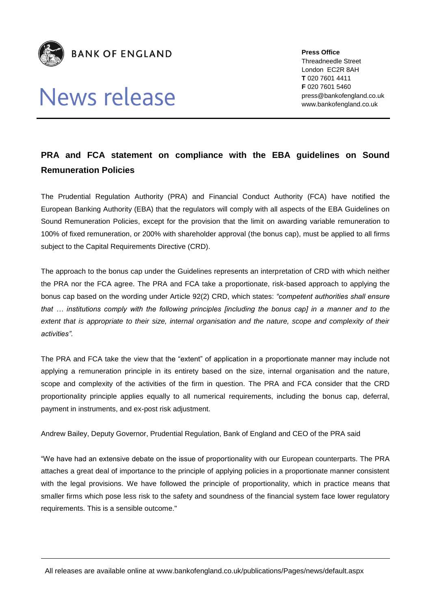

## News release

**Press Office** Threadneedle Street London EC2R 8AH **T** 020 7601 4411 **F** 020 7601 5460 press@bankofengland.co.uk www.bankofengland.co.uk

## **PRA and FCA statement on compliance with the EBA guidelines on Sound Remuneration Policies**

The Prudential Regulation Authority (PRA) and Financial Conduct Authority (FCA) have notified the European Banking Authority (EBA) that the regulators will comply with all aspects of the EBA Guidelines on Sound Remuneration Policies, except for the provision that the limit on awarding variable remuneration to 100% of fixed remuneration, or 200% with shareholder approval (the bonus cap), must be applied to all firms subject to the Capital Requirements Directive (CRD).

The approach to the bonus cap under the Guidelines represents an interpretation of CRD with which neither the PRA nor the FCA agree. The PRA and FCA take a proportionate, risk-based approach to applying the bonus cap based on the wording under Article 92(2) CRD, which states: *"competent authorities shall ensure that … institutions comply with the following principles [including the bonus cap] in a manner and to the extent that is appropriate to their size, internal organisation and the nature, scope and complexity of their activities".*

The PRA and FCA take the view that the "extent" of application in a proportionate manner may include not applying a remuneration principle in its entirety based on the size, internal organisation and the nature, scope and complexity of the activities of the firm in question. The PRA and FCA consider that the CRD proportionality principle applies equally to all numerical requirements, including the bonus cap, deferral, payment in instruments, and ex-post risk adjustment.

Andrew Bailey, Deputy Governor, Prudential Regulation, Bank of England and CEO of the PRA said

"We have had an extensive debate on the issue of proportionality with our European counterparts. The PRA attaches a great deal of importance to the principle of applying policies in a proportionate manner consistent with the legal provisions. We have followed the principle of proportionality, which in practice means that smaller firms which pose less risk to the safety and soundness of the financial system face lower regulatory requirements. This is a sensible outcome."